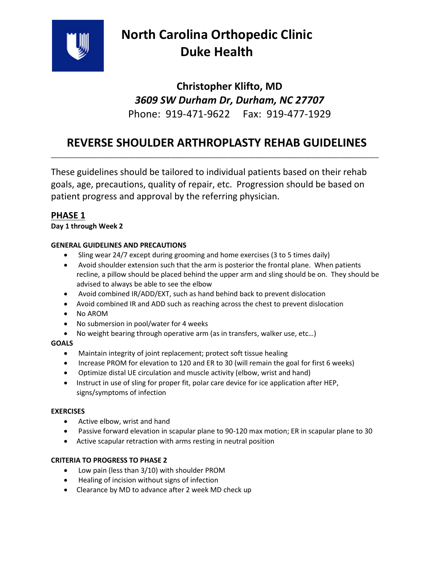

# **North Carolina Orthopedic Clinic Duke Health**

## **Christopher Klifto, MD**  *3609 SW Durham Dr, Durham, NC 27707*  Phone: 919-471-9622 Fax: 919-477-1929

### **REVERSE SHOULDER ARTHROPLASTY REHAB GUIDELINES**  \_\_\_\_\_\_\_\_\_\_\_\_\_\_\_\_\_\_\_\_\_\_\_\_\_\_\_\_\_\_\_\_\_\_\_\_\_\_\_\_\_\_\_\_\_\_\_\_\_\_\_\_\_\_\_\_\_\_\_\_\_\_\_\_\_\_\_\_\_\_\_\_\_\_\_\_\_\_\_\_\_\_\_\_\_\_\_\_\_\_\_\_\_

These guidelines should be tailored to individual patients based on their rehab goals, age, precautions, quality of repair, etc. Progression should be based on patient progress and approval by the referring physician.

### **PHASE 1**

### **Day 1 through Week 2**

### **GENERAL GUIDELINES AND PRECAUTIONS**

- Sling wear 24/7 except during grooming and home exercises (3 to 5 times daily)
- Avoid shoulder extension such that the arm is posterior the frontal plane. When patients recline, a pillow should be placed behind the upper arm and sling should be on. They should be advised to always be able to see the elbow
- Avoid combined IR/ADD/EXT, such as hand behind back to prevent dislocation
- Avoid combined IR and ADD such as reaching across the chest to prevent dislocation
- No AROM
- No submersion in pool/water for 4 weeks
- No weight bearing through operative arm (as in transfers, walker use, etc…)

### **GOALS**

- Maintain integrity of joint replacement; protect soft tissue healing
- Increase PROM for elevation to 120 and ER to 30 (will remain the goal for first 6 weeks)
- Optimize distal UE circulation and muscle activity (elbow, wrist and hand)
- Instruct in use of sling for proper fit, polar care device for ice application after HEP, signs/symptoms of infection

### **EXERCISES**

- Active elbow, wrist and hand
- Passive forward elevation in scapular plane to 90-120 max motion; ER in scapular plane to 30
- Active scapular retraction with arms resting in neutral position

### **CRITERIA TO PROGRESS TO PHASE 2**

- Low pain (less than 3/10) with shoulder PROM
- Healing of incision without signs of infection
- Clearance by MD to advance after 2 week MD check up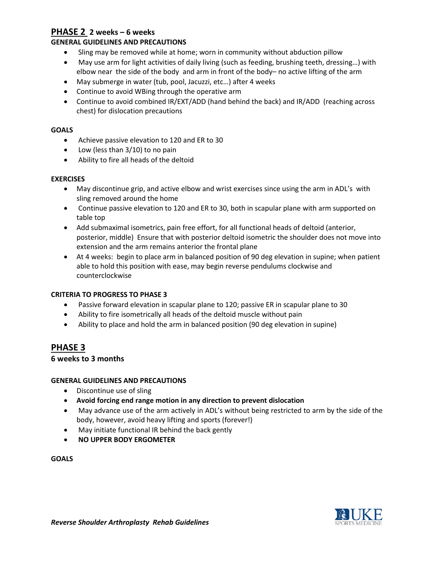### **PHASE 2 2 weeks – 6 weeks**

### **GENERAL GUIDELINES AND PRECAUTIONS**

- Sling may be removed while at home; worn in community without abduction pillow
- May use arm for light activities of daily living (such as feeding, brushing teeth, dressing…) with elbow near the side of the body and arm in front of the body– no active lifting of the arm
- May submerge in water (tub, pool, Jacuzzi, etc…) after 4 weeks
- Continue to avoid WBing through the operative arm
- Continue to avoid combined IR/EXT/ADD (hand behind the back) and IR/ADD (reaching across chest) for dislocation precautions

### **GOALS**

- Achieve passive elevation to 120 and ER to 30
- Low (less than 3/10) to no pain
- Ability to fire all heads of the deltoid

### **EXERCISES**

- May discontinue grip, and active elbow and wrist exercises since using the arm in ADL's with sling removed around the home
- Continue passive elevation to 120 and ER to 30, both in scapular plane with arm supported on table top
- Add submaximal isometrics, pain free effort, for all functional heads of deltoid (anterior, posterior, middle) Ensure that with posterior deltoid isometric the shoulder does not move into extension and the arm remains anterior the frontal plane
- At 4 weeks: begin to place arm in balanced position of 90 deg elevation in supine; when patient able to hold this position with ease, may begin reverse pendulums clockwise and counterclockwise

### **CRITERIA TO PROGRESS TO PHASE 3**

- Passive forward elevation in scapular plane to 120; passive ER in scapular plane to 30
- Ability to fire isometrically all heads of the deltoid muscle without pain
- Ability to place and hold the arm in balanced position (90 deg elevation in supine)

### **PHASE 3**

### **6 weeks to 3 months**

### **GENERAL GUIDELINES AND PRECAUTIONS**

- Discontinue use of sling
- **Avoid forcing end range motion in any direction to prevent dislocation**
- May advance use of the arm actively in ADL's without being restricted to arm by the side of the body, however, avoid heavy lifting and sports (forever!)
- May initiate functional IR behind the back gently
- **NO UPPER BODY ERGOMETER**

### **GOALS**

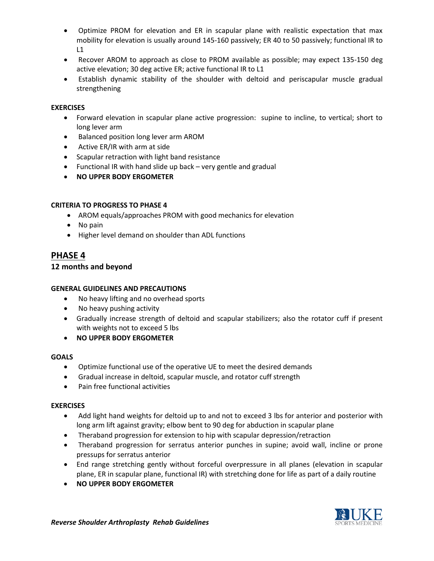- Optimize PROM for elevation and ER in scapular plane with realistic expectation that max mobility for elevation is usually around 145-160 passively; ER 40 to 50 passively; functional IR to  $L1$
- Recover AROM to approach as close to PROM available as possible; may expect 135-150 deg active elevation; 30 deg active ER; active functional IR to L1
- Establish dynamic stability of the shoulder with deltoid and periscapular muscle gradual strengthening

### **EXERCISES**

- Forward elevation in scapular plane active progression: supine to incline, to vertical; short to long lever arm
- Balanced position long lever arm AROM
- Active ER/IR with arm at side
- Scapular retraction with light band resistance
- Functional IR with hand slide up back very gentle and gradual
- **NO UPPER BODY ERGOMETER**

#### **CRITERIA TO PROGRESS TO PHASE 4**

- AROM equals/approaches PROM with good mechanics for elevation
- No pain
- Higher level demand on shoulder than ADL functions

### **PHASE 4**

### **12 months and beyond**

### **GENERAL GUIDELINES AND PRECAUTIONS**

- No heavy lifting and no overhead sports
- No heavy pushing activity
- Gradually increase strength of deltoid and scapular stabilizers; also the rotator cuff if present with weights not to exceed 5 lbs
- **NO UPPER BODY ERGOMETER**

#### **GOALS**

- Optimize functional use of the operative UE to meet the desired demands
- Gradual increase in deltoid, scapular muscle, and rotator cuff strength
- Pain free functional activities

#### **EXERCISES**

- Add light hand weights for deltoid up to and not to exceed 3 lbs for anterior and posterior with long arm lift against gravity; elbow bent to 90 deg for abduction in scapular plane
- Theraband progression for extension to hip with scapular depression/retraction
- Theraband progression for serratus anterior punches in supine; avoid wall, incline or prone pressups for serratus anterior
- End range stretching gently without forceful overpressure in all planes (elevation in scapular plane, ER in scapular plane, functional IR) with stretching done for life as part of a daily routine
- **NO UPPER BODY ERGOMETER**